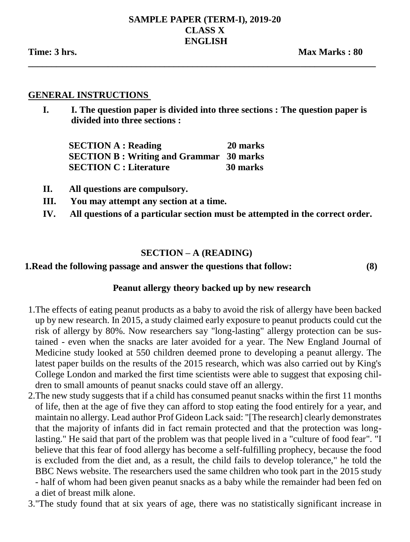#### **SAMPLE PAPER (TERM-I), 2019-20 CLASS X ENGLISH**

**\_\_\_\_\_\_\_\_\_\_\_\_\_\_\_\_\_\_\_\_\_\_\_\_\_\_\_\_\_\_\_\_\_\_\_\_\_\_\_\_\_\_\_\_\_\_\_\_\_\_\_\_\_\_\_\_\_\_\_\_\_\_\_\_\_\_\_\_\_\_\_\_\_\_**

#### **GENERAL INSTRUCTIONS**

**I. I. The question paper is divided into three sections : The question paper is divided into three sections :** 

 **SECTION A : Reading 20 marks SECTION B : Writing and Grammar 30 marks SECTION C : Literature 30 marks**

- **II. All questions are compulsory.**
- **III. You may attempt any section at a time.**
- **IV. All questions of a particular section must be attempted in the correct order.**

### **SECTION – A (READING)**

#### **1.Read the following passage and answer the questions that follow: (8)**

### **Peanut allergy theory backed up by new research**

- 1.The effects of eating peanut products as a baby to avoid the risk of allergy have been backed up by new research. In 2015, a study claimed early exposure to peanut products could cut the risk of allergy by 80%. Now researchers say "long-lasting" allergy protection can be sustained - even when the snacks are later avoided for a year. The New England Journal of Medicine study looked at 550 children deemed prone to developing a peanut allergy. The latest paper builds on the results of the 2015 research, which was also carried out by King's College London and marked the first time scientists were able to suggest that exposing children to small amounts of peanut snacks could stave off an allergy.
- 2.The new study suggests that if a child has consumed peanut snacks within the first 11 months of life, then at the age of five they can afford to stop eating the food entirely for a year, and maintain no allergy. Lead author Prof Gideon Lack said: "[The research] clearly demonstrates that the majority of infants did in fact remain protected and that the protection was longlasting." He said that part of the problem was that people lived in a "culture of food fear". "I believe that this fear of food allergy has become a self-fulfilling prophecy, because the food is excluded from the diet and, as a result, the child fails to develop tolerance," he told the BBC News website. The researchers used the same children who took part in the 2015 study - half of whom had been given peanut snacks as a baby while the remainder had been fed on a diet of breast milk alone.
- 3."The study found that at six years of age, there was no statistically significant increase in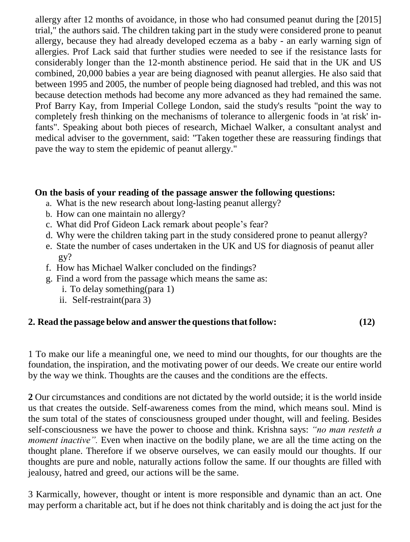allergy after 12 months of avoidance, in those who had consumed peanut during the [2015] trial," the authors said. The children taking part in the study were considered prone to peanut allergy, because they had already developed eczema as a baby - an early warning sign of allergies. Prof Lack said that further studies were needed to see if the resistance lasts for considerably longer than the 12-month abstinence period. He said that in the UK and US combined, 20,000 babies a year are being diagnosed with peanut allergies. He also said that between 1995 and 2005, the number of people being diagnosed had trebled, and this was not because detection methods had become any more advanced as they had remained the same. Prof Barry Kay, from Imperial College London, said the study's results "point the way to completely fresh thinking on the mechanisms of tolerance to allergenic foods in 'at risk' infants". Speaking about both pieces of research, Michael Walker, a consultant analyst and medical adviser to the government, said: "Taken together these are reassuring findings that pave the way to stem the epidemic of peanut allergy."

### **On the basis of your reading of the passage answer the following questions:**

- a. What is the new research about long-lasting peanut allergy?
- b. How can one maintain no allergy?
- c. What did Prof Gideon Lack remark about people's fear?
- d. Why were the children taking part in the study considered prone to peanut allergy?
- e. State the number of cases undertaken in the UK and US for diagnosis of peanut aller gy?
- f. How has Michael Walker concluded on the findings?
- g. Find a word from the passage which means the same as:
	- i. To delay something(para 1)
	- ii. Self-restraint(para 3)

## **2. Read the passage below and answer the questionsthatfollow: (12)**

1 To make our life a meaningful one, we need to mind our thoughts, for our thoughts are the foundation, the inspiration, and the motivating power of our deeds. We create our entire world by the way we think. Thoughts are the causes and the conditions are the effects.

**2** Our circumstances and conditions are not dictated by the world outside; it is the world inside us that creates the outside. Self-awareness comes from the mind, which means soul. Mind is the sum total of the states of consciousness grouped under thought, will and feeling. Besides self-consciousness we have the power to choose and think. Krishna says: *"no man resteth a moment inactive*". Even when inactive on the bodily plane, we are all the time acting on the thought plane. Therefore if we observe ourselves, we can easily mould our thoughts. If our thoughts are pure and noble, naturally actions follow the same. If our thoughts are filled with jealousy, hatred and greed, our actions will be the same.

3 Karmically, however, thought or intent is more responsible and dynamic than an act. One may perform a charitable act, but if he does not think charitably and is doing the act just for the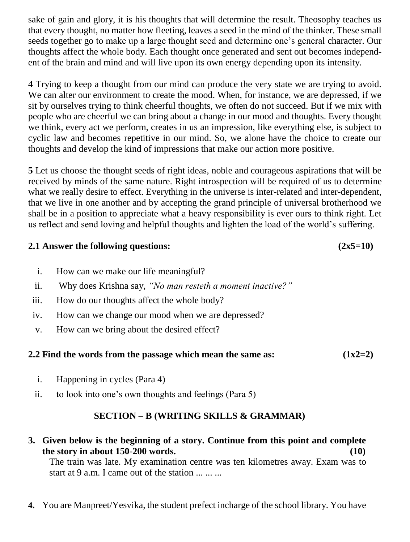sake of gain and glory, it is his thoughts that will determine the result. Theosophy teaches us that every thought, no matter how fleeting, leaves a seed in the mind of the thinker. These small seeds together go to make up a large thought seed and determine one's general character. Our thoughts affect the whole body. Each thought once generated and sent out becomes independent of the brain and mind and will live upon its own energy depending upon its intensity.

4 Trying to keep a thought from our mind can produce the very state we are trying to avoid. We can alter our environment to create the mood. When, for instance, we are depressed, if we sit by ourselves trying to think cheerful thoughts, we often do not succeed. But if we mix with people who are cheerful we can bring about a change in our mood and thoughts. Every thought we think, every act we perform, creates in us an impression, like everything else, is subject to cyclic law and becomes repetitive in our mind. So, we alone have the choice to create our thoughts and develop the kind of impressions that make our action more positive.

**5** Let us choose the thought seeds of right ideas, noble and courageous aspirations that will be received by minds of the same nature. Right introspection will be required of us to determine what we really desire to effect. Everything in the universe is inter-related and inter-dependent, that we live in one another and by accepting the grand principle of universal brotherhood we shall be in a position to appreciate what a heavy responsibility is ever ours to think right. Let us reflect and send loving and helpful thoughts and lighten the load of the world's suffering.

## **2.1 Answer the following questions: (2x5=10)**

- i. How can we make our life meaningful?
- ii. Why does Krishna say, *"No man resteth a moment inactive?"*
- iii. How do our thoughts affect the whole body?
- iv. How can we change our mood when we are depressed?
- v. How can we bring about the desired effect?

## **2.2 Find the words from the passage which mean the same as: (1x2=2)**

- i. Happening in cycles (Para 4)
- ii. to look into one's own thoughts and feelings (Para 5)

## **SECTION – B (WRITING SKILLS & GRAMMAR)**

- **3. Given below is the beginning of a story. Continue from this point and complete the story in about 150-200 words. (10)** The train was late. My examination centre was ten kilometres away. Exam was to start at 9 a.m. I came out of the station  $\dots \dots$
- **4.** You are Manpreet/Yesvika, the student prefect incharge of the school library. You have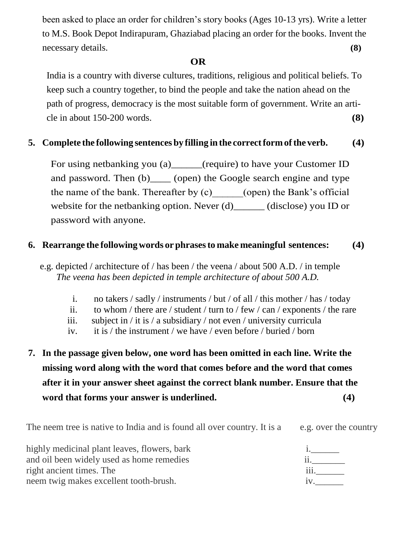been asked to place an order for children's story books (Ages 10-13 yrs). Write a letter to M.S. Book Depot Indirapuram, Ghaziabad placing an order for the books. Invent the necessary details. **(8)**

### *OR*

India is a country with diverse cultures, traditions, religious and political beliefs. To keep such a country together, to bind the people and take the nation ahead on the path of progress, democracy is the most suitable form of government. Write an article in about 150-200 words. **(8)**

## **5. Complete the following sentences by filling in the correctform ofthe verb. (4)**

For using netbanking you (a) (require) to have your Customer ID and password. Then (b) (open) the Google search engine and type the name of the bank. Thereafter by  $(c)$  (open) the Bank's official website for the netbanking option. Never (d)\_\_\_\_\_\_ (disclose) you ID or password with anyone.

## **6. Rearrange the following words or phrasesto make meaningful sentences: (4)**

 e.g. depicted / architecture of / has been / the veena / about 500 A.D. / in temple *The veena has been depicted in temple architecture of about 500 A.D.* 

- i. no takers / sadly / instruments / but / of all / this mother / has / today
- ii. to whom / there are / student / turn to / few / can / exponents / the rare
- iii. subject in / it is / a subsidiary / not even / university curricula
- iv. it is / the instrument / we have / even before / buried / born
- **7. In the passage given below, one word has been omitted in each line. Write the missing word along with the word that comes before and the word that comes after it in your answer sheet against the correct blank number. Ensure that the word that forms your answer is underlined. (4)**

| The neem tree is native to India and is found all over country. It is a | e.g. over the country |
|-------------------------------------------------------------------------|-----------------------|
| highly medicinal plant leaves, flowers, bark                            |                       |
| and oil been widely used as home remedies                               |                       |
| right ancient times. The                                                | 111                   |
| neem twig makes excellent tooth-brush.                                  |                       |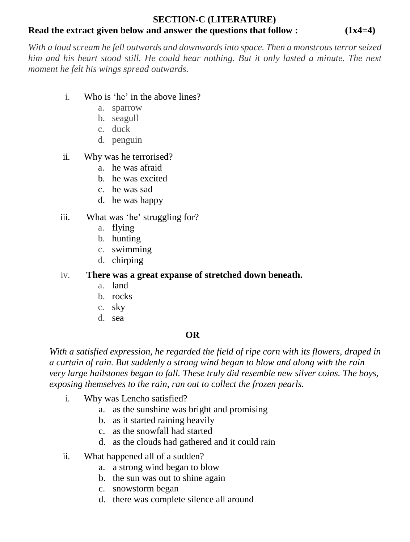#### **SECTION-C (LITERATURE) Read the extract given below and answer the questions that follow : (1x4=4)**

*With a loud scream he fell outwards and downwards into space. Then a monstrous terror seized him and his heart stood still. He could hear nothing. But it only lasted a minute. The next moment he felt his wings spread outwards.*

- i. Who is 'he' in the above lines?
	- a. sparrow
	- b. seagull
	- c. duck
	- d. penguin
- ii. Why was he terrorised?
	- a. he was afraid
	- b. he was excited
	- c. he was sad
	- d. he was happy
- iii. What was 'he' struggling for?
	- a. flying
	- b. hunting
	- c. swimming
	- d. chirping

iv. **There was a great expanse of stretched down beneath.**

- a. land
- b. rocks
- c. sky
- d. sea

### **OR**

*With a satisfied expression, he regarded the field of ripe corn with its flowers, draped in a curtain of rain. But suddenly a strong wind began to blow and along with the rain very large hailstones began to fall. These truly did resemble new silver coins. The boys, exposing themselves to the rain, ran out to collect the frozen pearls.*

- i. Why was Lencho satisfied?
	- a. as the sunshine was bright and promising
	- b. as it started raining heavily
	- c. as the snowfall had started
	- d. as the clouds had gathered and it could rain
- ii. What happened all of a sudden?
	- a. a strong wind began to blow
	- b. the sun was out to shine again
	- c. snowstorm began
	- d. there was complete silence all around